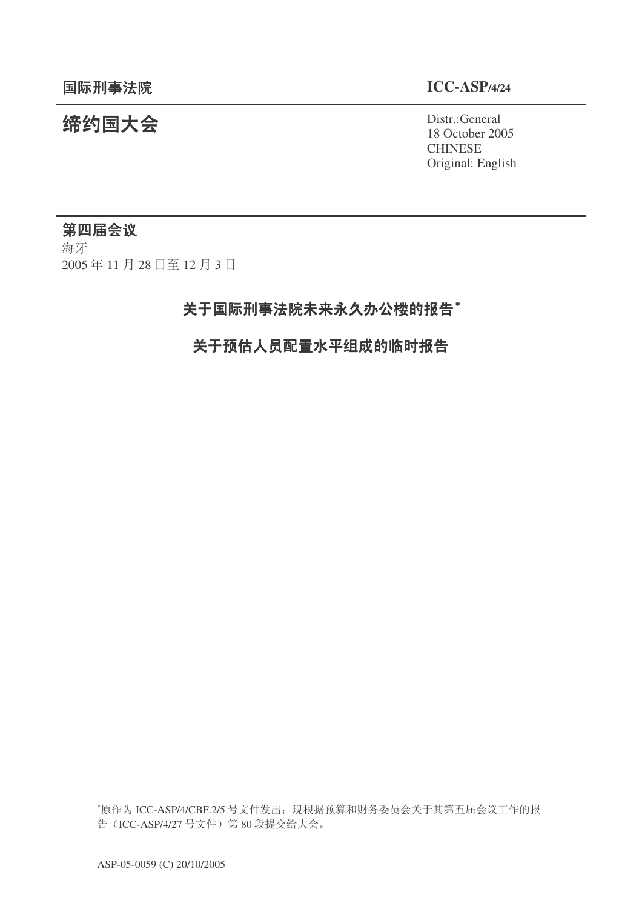# 统约国大会 Pistr.:General

18 October 2005 CHINESE Original: English

## 第四届会议

海牙 2005年11月28日至12月3日

关于国际刑事法院未来永久办公楼的报告\*

# 关于预估人员配置水平组成的临时报告

 $*$ 原作为 ICC-ASP/4/CBF.2/5 号文件发出: 现根据预算和财务委员会关于其第五届会议工作的报 告 (ICC-ASP/4/27 号文件) 第 80 段提交给大会。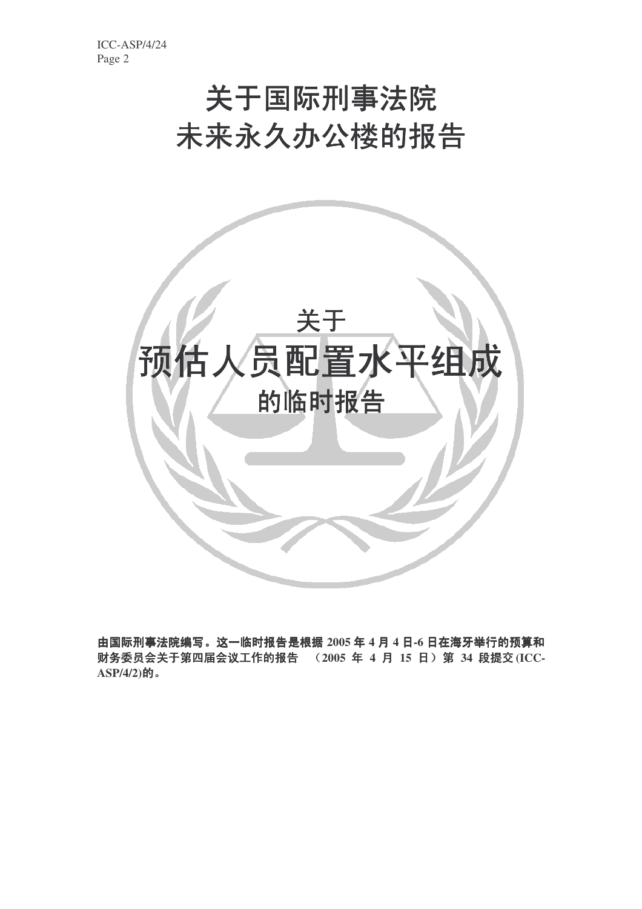# 关于国际刑事法院 未来永久办公楼的报告



由国际刑事法院编写。这一临时报告是根据 2005 年 4 月 4 日-6 日在海牙举行的预算和 财务委员会关于第四届会议工作的报告 (2005年4月15日)第34段提交(ICC-ASP/4/2)的。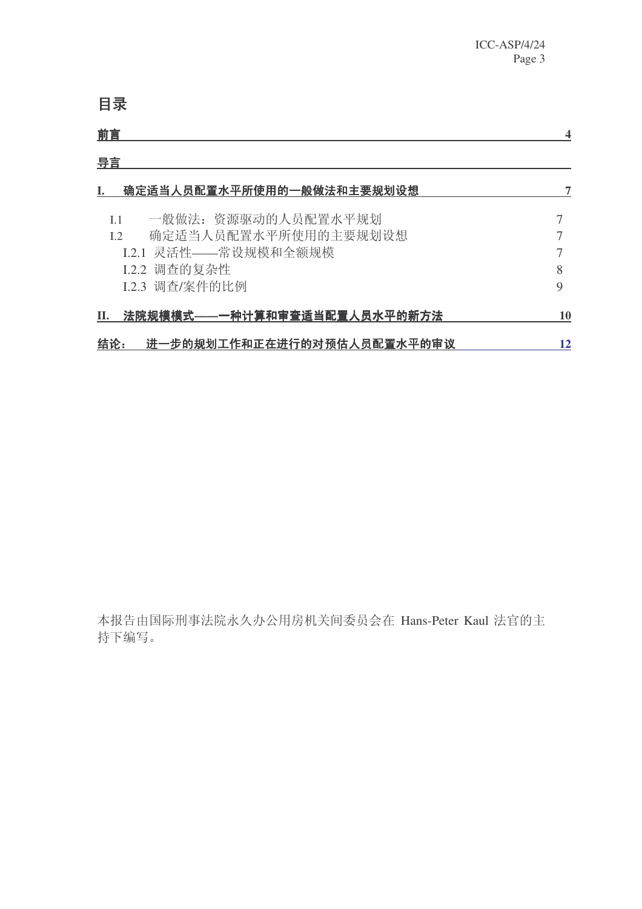# 目录

| 前言                                     |    |
|----------------------------------------|----|
| 导言                                     |    |
| 确定适当人员配置水平所使用的一般做法和主要规划设想              |    |
| 一般做法: 资源驱动的人员配置水平规划<br>L1              |    |
| 确定适当人员配置水平所使用的主要规划设想<br>L <sub>2</sub> |    |
| I.2.1 灵活性——常设规模和全额规模                   |    |
| I.2.2 调查的复杂性                           | 8  |
| I.2.3 调查/案件的比例                         | 9  |
| 法院规模模式——一种计算和审查适当配置人员水平的新方法<br>П.      | 10 |
| 进一步的规划工作和正在进行的对预估人员配置水平的审议<br>结论:      | 12 |

本报告由国际刑事法院永久办公用房机关间委员会在 Hans-Peter Kaul 法官的主 持下编写。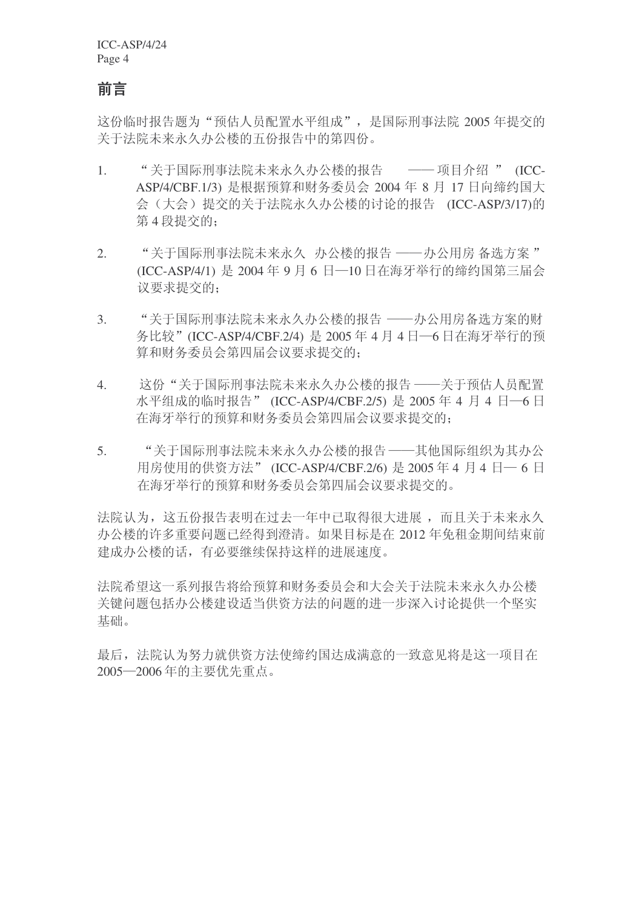### 前言

这份临时报告题为"预估人员配置水平组成", 是国际刑事法院 2005 年提交的 关于法院未来永久办公楼的五份报告中的第四份。

- 1. "关于国际刑事法院未来永久办公楼的报告——— 项目介绍" (ICC-ASP/4/CBF.1/3) 是根据预算和财务委员会 2004 年 8 月 17 日向缔约国大 会(大会)提交的关于法院永久办公楼的讨论的报告 (ICC-ASP/3/17)的 第4段提交的:
- 2. "关于国际刑事法院未来永久办公楼的报告 -- 办公用房 备选方案" (ICC-ASP/4/1) 是 2004年9月6日--10日在海牙举行的缔约国第三届会 议要求提交的:
- 3. "关于国际刑事法院未来永久办公楼的报告 ——办公用房备选方案的财 务比较" (ICC-ASP/4/CBF.2/4) 是 2005 年 4 月 4 日─6 日在海牙举行的预 算和财务委员会第四届会议要求提交的:
- 4. 这份"关于国际刑事法院未来永久办公楼的报告 ——关于预估人员配置 水平组成的临时报告" (ICC-ASP/4/CBF.2/5) 是 2005 年 4 月 4 日─6 日 在海牙举行的预算和财务委员会第四届会议要求提交的:
- 5. "关于国际刑事法院未来永久办公楼的报告 -- 其他国际组织为其办公 用房使用的供资方法" (ICC-ASP/4/CBF.2/6) 是 2005 年 4 月 4 日─ 6 日 在海牙举行的预算和财务委员会第四届会议要求提交的。

法院认为, 这五份报告表明在过去一年中已取得很大进展, 而且关于未来永久 办公楼的许多重要问题已经得到澄清。如果目标是在 2012 年免租金期间结束前 建成办公楼的话, 有必要继续保持这样的进展速度。

法院希望这一系列报告将给预算和财务委员会和大会关于法院未来永久办公楼 关键问题包括办公楼建设适当供资方法的问题的进一步深入讨论提供一个坚实 基础。

最后, 法院认为努力就供资方法使缔约国达成满意的一致意见将是这一项目在 2005<sup>-2006</sup>年的主要优先重点。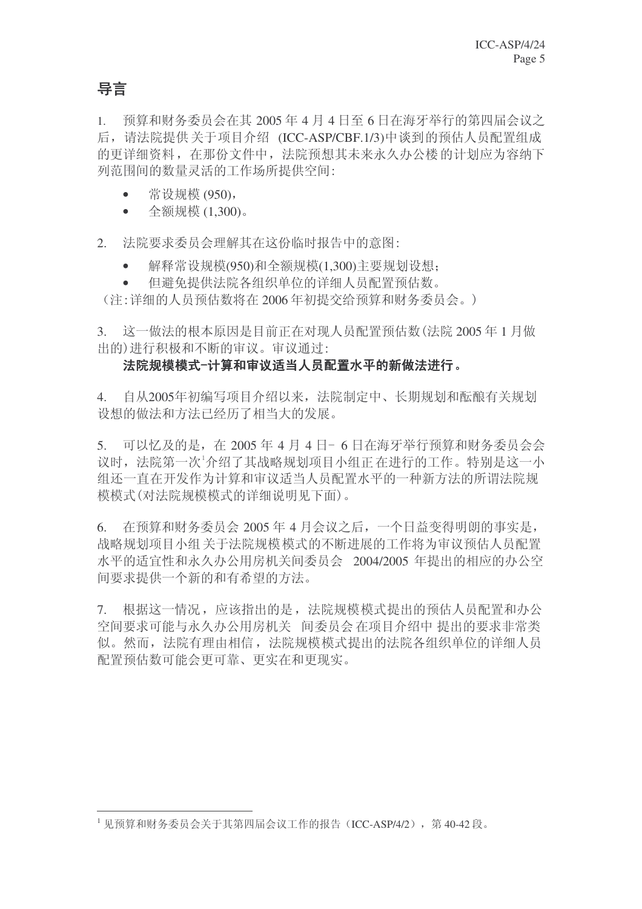# 导言

1. 预算和财务委员会在其 2005 年 4 月 4 日至 6 日在海牙举行的第四届会议之 后, 请法院提供关于项目介绍 (ICC-ASP/CBF.1/3)中谈到的预估人员配置组成 的更详细资料, 在那份文件中, 法院预想其未来永久办公楼的计划应为容纳下 列范围间的数量灵活的工作场所提供空间:

- 常设规模 (950),
- 全额规模 (1,300)。

2. 決院要求委员会理解其在这份临时报告中的意图:

- 解释常设规模(950)和全额规模(1,300)主要规划设想;
- 但避免提供法院各组织单位的详细人员配置预估数。

(注:详细的人员预估数将在2006年初提交给预算和财务委员会。)

3. 这一做法的根本原因是目前正在对现人员配置预估数(法院 2005年1月做 出的) 进行积极和不断的审议。审议通过:

#### 法院规模模式-计算和审议适当人员配置水平的新做法进行。

4. 自从2005年初编写项目介绍以来, 法院制定中、长期规划和酝酿有关规划 设想的做法和方法已经历了相当大的发展。

5. 可以忆及的是, 在 2005 年 4 月 4 日 - 6 日在海牙举行预算和财务委员会会 议时, 法院第一次'介绍了其战略规划项目小组正 在进行的工作。特别是这一小 组还一直在开发作为计算和审议适当人员配置水平的一种新方法的所谓法院规 模模式(对法院规模模式的详细说明见下面)。

 $6.$  在预算和财务委员会 2005 年 4 月会议之后, 一个日益变得明朗的事实是, 战略规划项目小组 关于法院规模 模式的不断进展的工作将为审议预估人员配置 水平的适宜性和永久办公用房机关间委员会 2004/2005 年提出的相应的办公空 间要求提供一个新的和有希望的方法。

7. 根据这一情况,应该指出的是,法院规模模式提出的预估人员配置和办公 空间要求可能与永久办公用房机关 间委员会在项目介绍中 提出的要求非常类 似。然而, 法院有理由相信, 法院规模模式提出的法院各组织单位的详细人员 配置预估数可能会更可靠、更实在和更现实。

 $^{-1}$  见预算和财务委员会关于其第四届会议工作的报告(ICC-ASP/4/2), 第40-42段。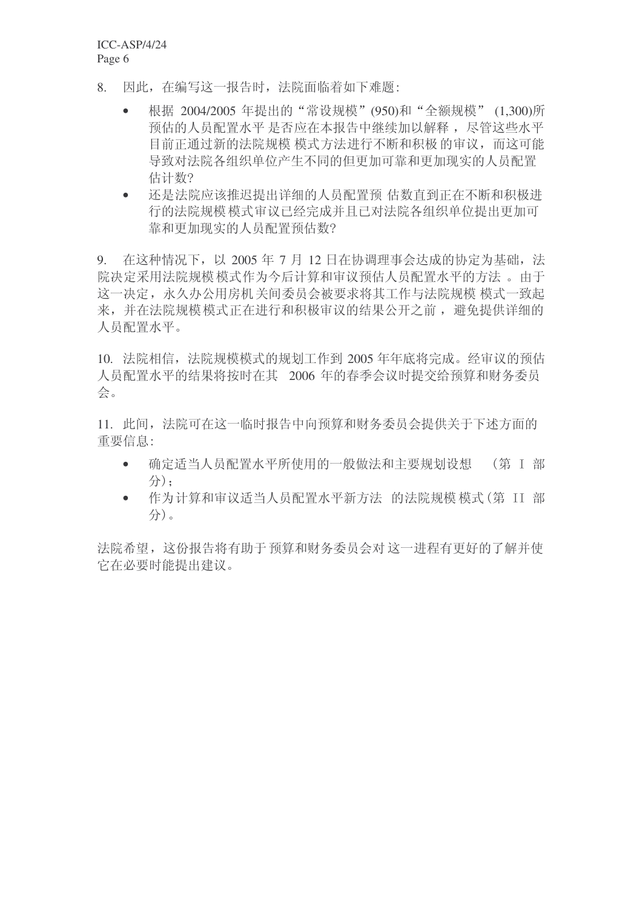ICC-ASP/4/24 Page 6

- 8. 因此, 在编写这一报告时, 法院面临着如下难题:
	- 根据 2004/2005 年提出的"常设规模" (950)和"全额规模" (1,300)所 预估的人员配置水平 是否应在本报告中继续加以解释, 尽管这些水平 目前正通过新的法院规模 模式方法进行不断和积极 的审议,而这可能 导致对法院各组织单位产生不同的但更加可靠和更加现实的人员配置 估计数?
	- 还是法院应该推迟提出详细的人员配置预 估数直到正在不断和积极进 行的法院规模模式审议已经完成并且已对法院各组织单位提出更加可 靠和更加现实的人员配置预估数?

 $9.$  在这种情况下, 以 2005 年 7 月 12 日在协调理事会达成的协定为基础, 法 院决定采用法院规模模式作为今后计算和审议预估人员配置水平的方法 。由于 这一决定, 永久办公用房机关间委员会被要求将其工作与法院规模 模式一致起 来,并在法院规模模式正在进行和积极审议的结果公开之前,避免提供详细的 人员配置水平。

10. 法院相信, 法院规模模式的规划工作到 2005 年年底将完成。经审议的预估 人员配置水平的结果将按时在其 2006 年的春季会议时提交给预算和财务委员 会。

11. 此间, 法院可在这一临时报告中向预算和财务委员会提供关于下述方面的 重要信息:

- 确定适当人员配置水平所使用的一般做法和主要规划设想 (第 I 部 分):
- 作为计算和审议适当人员配置水平新方法 的法院规模模式(第 II 部 分。

法院希望, 这份报告将有助于预算和财务委员会对这一进程有更好的了解并使 它在必要时能提出建议。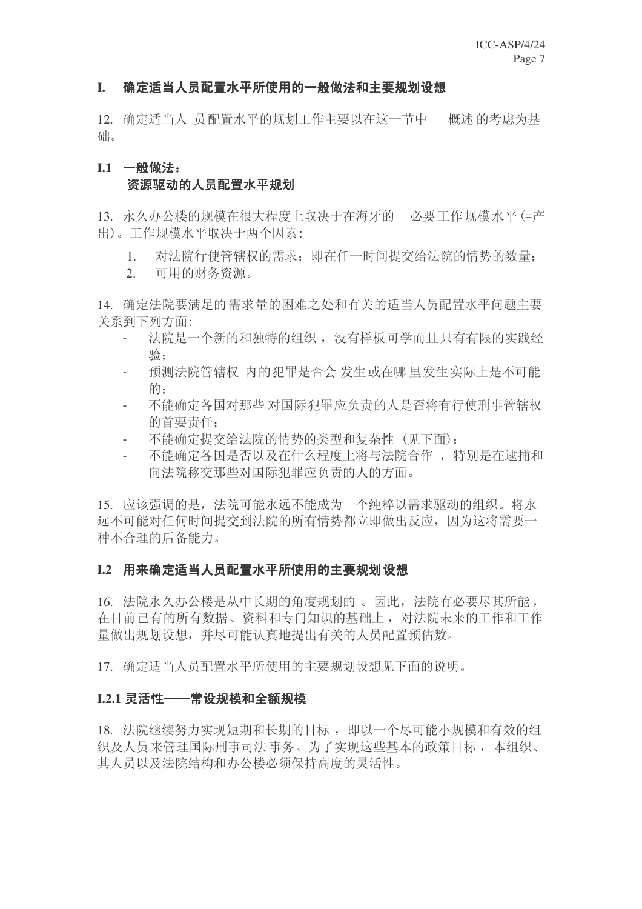#### I. 确定适当人员配置水平所使用的一般做法和主要规划设想

12. 确定适当人员配置水平的规划工作主要以在这一节中。 概述 的考虑为基 础。

#### $I.1$  一般做法: 资源驱动的人员配置水平规划

13. 永久办公楼的规模在很大程度上取决于在海牙的。必要工作规模水平(=产 出)。工作规模水平取决于两个因素:

- 1. 对法院行使管辖权的需求: 即在任一时间提交给法院的情势的数量:
- 2. 可用的财务资源。

14. 确定法院要满足的需求量的困难之处和有关的适当人员配置水平问题主要 关系到下列方面:

- 法院是一个新的和独特的组织, 没有样板可学而且只有有限的实践经 验.
- 预测法院管辖权 内的犯罪是否会 发生或在哪 里发生实际上是不可能 的。
- 不能确定各国对那些 对国际犯罪应负责的人是否将有行使刑事管辖权 的首要责任:
- 不能确定提交给法院的情势的类型和复杂性 (见下面):
- 不能确定各国是否以及在什么程度上将与法院合作 , 特别是在逮捕和 向法院移交那些对国际犯罪应负责的人的方面。

15. 应该强调的是, 法院可能永远不能成为一个纯粹以需求驱动的组织。将永 远不可能对任何时间提交到法院的所有情势都立即做出反应,因为这将需要一 种不合理的后备能力。

#### I.2 用来确定适当人员配置水平所使用的主要规划设想

16. 法院永久办公楼是从中长期的角度规划的。因此, 法院有必要尽其所能, 在目前已有的所有数据、资料和专门知识的基础上, 对法院未来的工作和工作 量做出规划设想,并尽可能认真地提出有关的人员配置预估数。

17. 确定活当人员配置水平所使用的主要规划设想见下面的说明。

#### I.2.1 灵活性——常设规模和全额规模

18. 法院继续努力实现短期和长期的目标, 即以一个尽可能小规模和有效的组 织及人员来管理国际刑事司法事务。为了实现这些基本的政策目标,本组织、 其人员以及法院结构和办公楼必须保持高度的灵活性。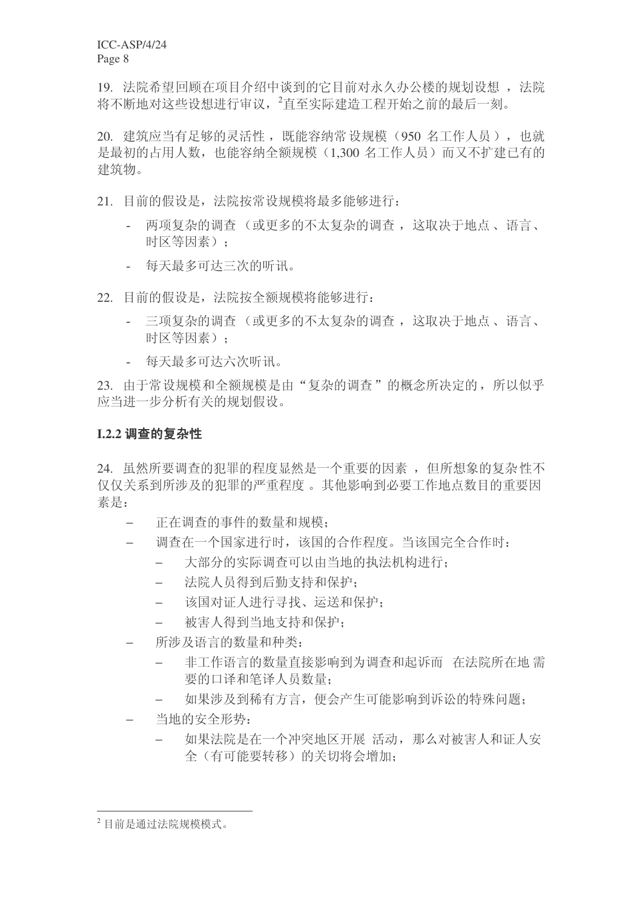19. 法院希望回顾在项目介绍中谈到的它目前对永久办公楼的规划设想, 法院 将不断地对这些设想进行审议,<sup>2</sup>直至实际建造工程开始之前的最后一刻。

20. 建筑应当有足够的灵活性, 既能容纳常设规模(950 名工作人员), 也就 是最初的占用人数,也能容纳全额规模(1.300 名工作人员)而又不扩建已有的 建筑物。

- 21. 目前的假设是, 法院按常设规模将最多能够进行:
	- 两项复杂的调查(或更多的不太复杂的调查, 这取决于地点、语言、 时区等因素);
	- 每天最多可达三次的听讯。
- 22. 目前的假设是, 法院按全额规模将能够进行:
	- 三项复杂的调查 (或更多的不太复杂的调查, 这取决于地点、语言、 时区等因素):
	- 每天最多可达六次听讯。

23. 由于常设规模和全额规模是由"复杂的调查"的概念所决定的,所以似乎 应当进一步分析有关的规划假设。

#### **I.2.2 调查的复杂性**

24. 虽然所要调查的犯罪的程度显然是一个重要的因素, 但所想象的复杂性不 仅仅关系到所涉及的犯罪的严重程度。其他影响到必要工作地点数目的重要因 素是:

- − 正在调查的事件的数量和规模:
- 调查在一个国家讲行时,该国的合作程度。当该国完全合作时:
	- − 大部分的实际调查可以由当地的执法机构讲行:
	- 法院人员得到后勤支持和保护;
	- − 该国对证人讲行寻找、运送和保护:
	- − 被害人得到当地支持和保护:
- 所涉及语言的数量和种类:
	- − 非工作语言的数量直接影响到为调查和起诉而 在法院所在地需 要的口译和笔译人员数量:
	- − 如果涉及到稀有方言, 便会产生可能影响到诉讼的特殊问题:
- 当地的安全形势:
	- 如果法院是在一个冲突地区开展 活动, 那么对被害人和证人安 全(有可能要转移)的关切将会增加;

<sup>&</sup>lt;sup>2</sup>目前是通过法院规模模式。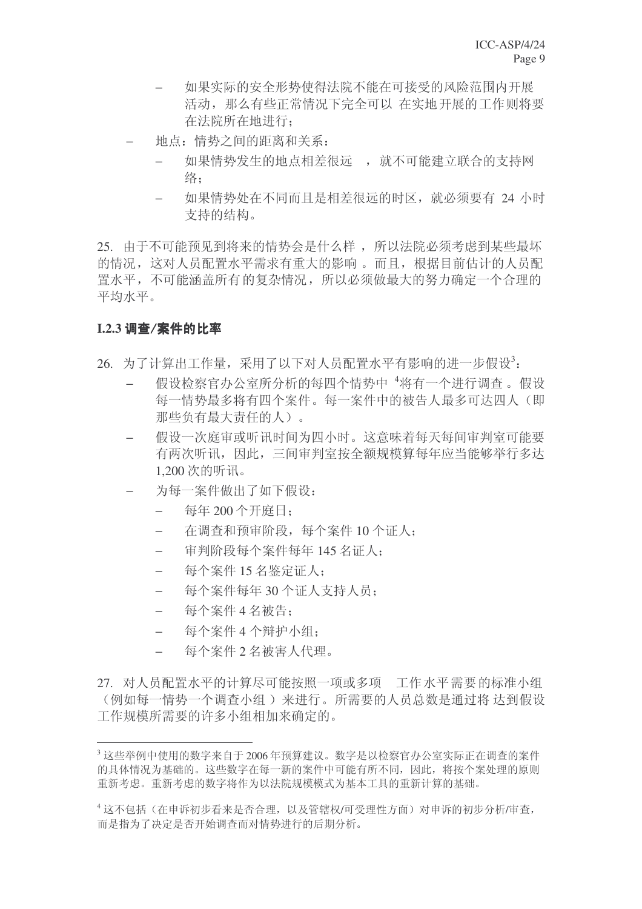- − 如果实际的安全形势使得法院不能在可接受的风险范围内开展 活动, 那么有些正常情况下完全可以 在实地开展的工作则将要 在法院所在地讲行:
- 地点: 情势之间的距离和关系:
	- 如果情势发生的地点相差很远,, 就不可能建立联合的支持网 络:
	- − 如果情势处在不同而且是相差很远的时区, 就必须要有 24 小时 支持的结构。

25. 由于不可能预见到将来的情势会是什么样,所以法院必须考虑到某些最坏 的情况, 这对人员配置水平需求有重大的影响。而且, 根据目前估计的人员配 置水平,不可能涵盖所有的复杂情况,所以必须做最大的努力确定一个合理的 平均水平。

#### **I.2.3 调查/案件的比率**

- 26. 为了计算出工作量, 采用了以下对人员配置水平有影响的进一步假设3:
	- 假设检察官办公室所分析的每四个情势中<sup>4</sup>将有一个讲行调杳。假设 每一情势最多将有四个案件。每一案件中的被告人最多可达四人(即 那些负有最大责任的人)。
	- 假设一次庭审或听讯时间为四小时。这意味着每天每间审判室可能要 有两次听讯, 因此, 三间审判室按全额规模算每年应当能够举行多达 1,200 次的听讯。
	- 为每一案件做出了如下假设:
		- → 每年 200 个开庭日:
		- 在调查和预审阶段, 每个案件 10 个证人:
		- ー 宙判阶段每个案件每年 145 名证人:
		- − 每个案件 15 名鉴定证人:
		- − 每个案件每年 30 个证人支持人员:
		- → 每个案件 4 名被告:
		- → 每个案件 4 个辩护小组:
		- − 每个案件2名被害人代理。
- 27. 对人员配置水平的计算尽可能按照一项或多项。工作水平需要的标准小组 (例如每一情势一个调杳小组) 来讲行。所需要的人员总数是通过将 达到假设 工作规模所需要的许多小组相加来确定的。

 $3$  这些举例中使用的数字来自于 2006 年预算建议。数字是以检察官办公室实际正在调查的案件 的具体情况为基础的。这些数字在每一新的案件中可能有所不同,因此,将按个案处理的原则 重新考虑的数字将作为以法院规模模式为基本工具的重新计算的基础。

<sup>&</sup>lt;sup>4</sup> 这不包括(在申诉初步看来是否合理,以及管辖权/可受理性方面)对申诉的初步分析/审查, 而是指为了决定是否开始调查而对情势进行的后期分析。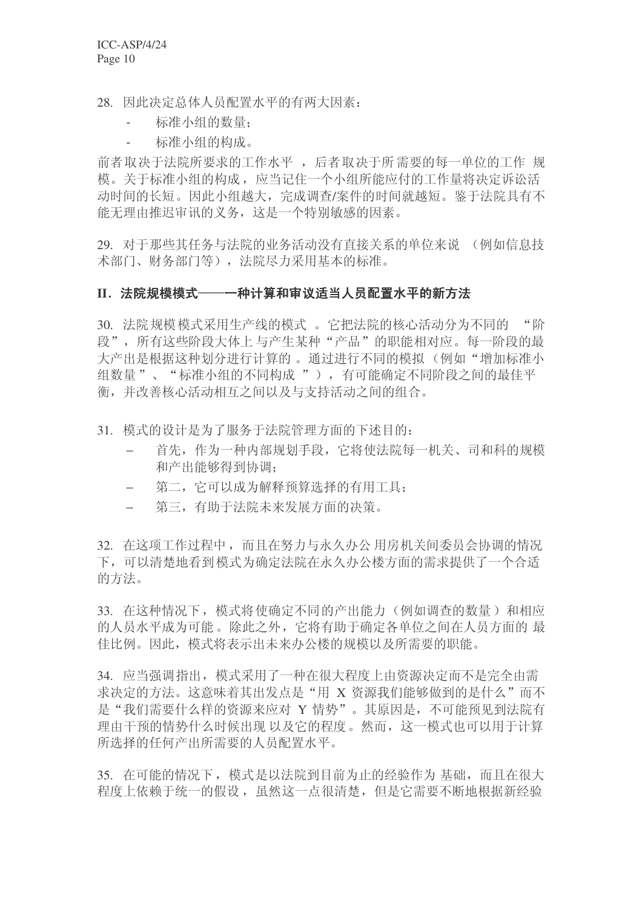28. 因此决定总体人员配置水平的有两大因素:

- 标准小组的数量:
- 标准小组的构成。

前者取决于法院所要求的工作水平, 后者取决于所需要的每一单位的工作 规 模。关于标准小组的构成, 应当记住一个小组所能应付的工作量将决定诉讼活 动时间的长短。因此小组越大,完成调查/案件的时间就越短。鉴于法院具有不 能无理由推迟审讯的义务, 这是一个特别敏感的因素。

29. 对于那些其任务与法院的业务活动没有直接关系的单位来说 (例如信息技 术部门、财务部门等), 法院尽力采用基本的标准。

#### Ⅱ. 法院规模模式──一种计算和审议适当人员配置水平的新方法

30. 法院规模模式采用生产线的模式。它把法院的核心活动分为不同的 "阶 段", 所有这些阶段大体上与产生某种"产品"的职能相对应。每一阶段的最 大产出是根据这种划分进行计算的。通过进行不同的模拟(例如"增加标准小 组数量"、"标准小组的不同构成"),有可能确定不同阶段之间的最佳平 衡,并改善核心活动相互之间以及与支持活动之间的组合。

- 31. 模式的设计是为了服务于法院管理方面的下述目的:
	- 首先,作为一种内部规划手段,它将使法院每一机关、司和科的规模 和产出能够得到协调:
	- 第二, 它可以成为解释预算选择的有用工具:
	- 第三,有助于法院未来发展方面的决策。

32. 在这项工作过程中,而且在努力与永久办公用房机关间委员会协调的情况 下, 可以清楚地看到模式为确定法院在永久办公楼方面的需求提供了一个合适 的方法。

33. 在这种情况下, 模式将使确定不同的产出能力(例如调查的数量)和相应 的人员水平成为可能。除此之外, 它将有助于确定各单位之间在人员方面的 最 佳比例。因此, 模式将表示出未来办公楼的规模以及所需要的职能。

34. 应当强调指出,模式采用了一种在很大程度上由资源决定而不是完全由需 **求决定的方法。这意味着其出发点是"用 Χ 资源我们能够做到的是什么"而不** 是"我们需要什么样的资源来应对 Y 情势"。其原因是, 不可能预见到法院有 理由干预的情势什么时候出现以及它的程度。然而,这一模式也可以用于计算 所选择的任何产出所需要的人员配置水平。

35. 在可能的情况下, 模式是以法院到目前为止的经验作为 基础, 而且在很大 程度上依赖于统一的假设, 虽然这一点很清楚, 但是它需要不断地根据新经验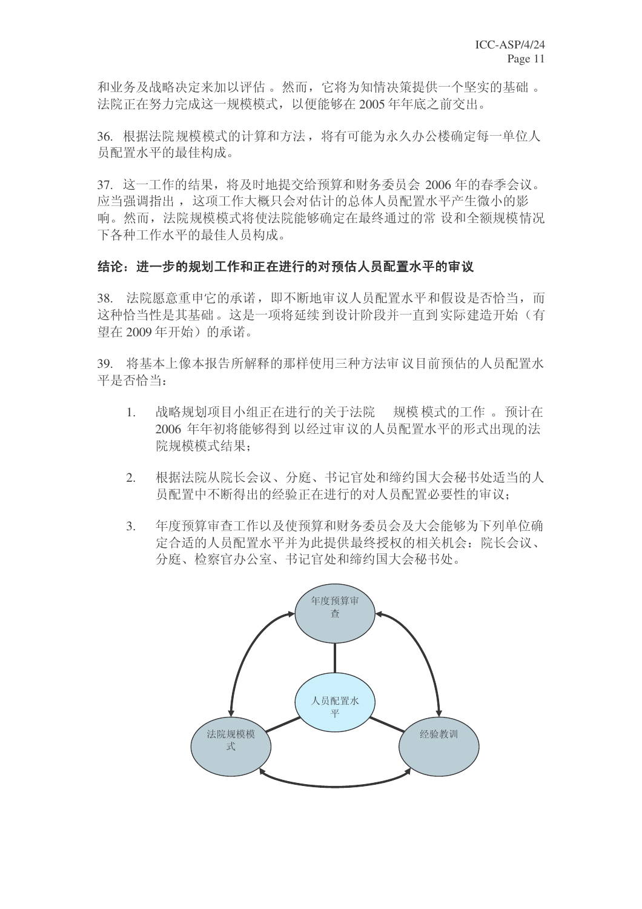和业务及战略决定来加以评估。然而, 它将为知情决策提供一个坚实的基础。 法院正在努力完成这一规模模式,以便能够在 2005 年年底之前交出。

36. 根据法院规模模式的计算和方法, 将有可能为永久办公楼确定每一单位人 员配置水平的最佳构成。

37. 这一工作的结果, 将及时地提交给预算和财务委员会 2006 年的春季会议。 应当强调指出, 这项工作大概只会对估计的总体人员配置水平产生微小的影 响。然而, 法院规模模式将使法院能够确定在最终通过的常 设和全额规模情况 下各种工作水平的最佳人员构成。

#### 结论: 进一步的规划工作和正在进行的对预估人员配置水平的审议

38. 法院愿意重申它的承诺, 即不断地审议人员配置水平和假设是否恰当, 而 这种恰当性是其基础。这是一项将延续到设计阶段并一直到实际建造开始(有 望在 2009年开始)的承诺。

39. 将基本上像本报告所解释的那样使用三种方法审议目前预估的人员配置水 平是否恰当:

- 1. 战略规划项目小组正在进行的关于法院 规模模式的工作。预计在 2006 年年初将能够得到以经过审议的人员配置水平的形式出现的法 院规模模式结果:
- 2. 根据法院从院长会议、分庭、书记官处和缔约国大会秘书处适当的人 员配置中不断得出的经验正在进行的对人员配置必要性的审议:
- 3. 年度预算审查工作以及使预算和财务委员会及大会能够为下列单位确 定合适的人员配置水平并为此提供最终授权的相关机会: 院长会议、 分庭、检察官办公室、书记官处和缔约国大会秘书处。